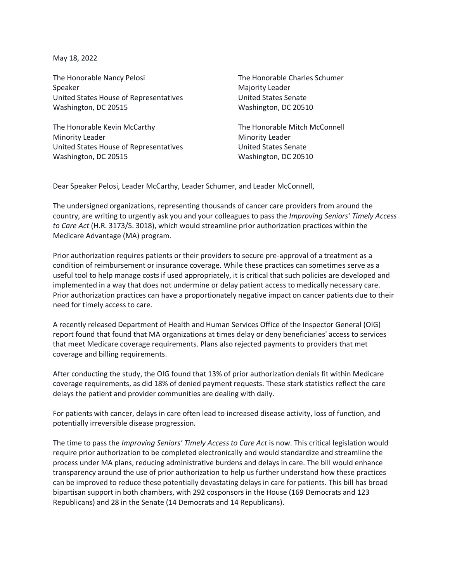May 18, 2022

The Honorable Nancy Pelosi Speaker United States House of Representatives Washington, DC 20515

The Honorable Kevin McCarthy Minority Leader United States House of Representatives Washington, DC 20515

The Honorable Charles Schumer Majority Leader United States Senate Washington, DC 20510

The Honorable Mitch McConnell Minority Leader United States Senate Washington, DC 20510

Dear Speaker Pelosi, Leader McCarthy, Leader Schumer, and Leader McConnell,

The undersigned organizations, representing thousands of cancer care providers from around the country, are writing to urgently ask you and your colleagues to pass the *Improving Seniors' Timely Access to Care Act* (H.R. 3173/S. 3018), which would streamline prior authorization practices within the Medicare Advantage (MA) program.

Prior authorization requires patients or their providers to secure pre-approval of a treatment as a condition of reimbursement or insurance coverage. While these practices can sometimes serve as a useful tool to help manage costs if used appropriately, it is critical that such policies are developed and implemented in a way that does not undermine or delay patient access to medically necessary care. Prior authorization practices can have a proportionately negative impact on cancer patients due to their need for timely access to care.

A recently released Department of Health and Human Services Office of the Inspector General (OIG) report found that found that MA organizations at times delay or deny beneficiaries' access to services that meet Medicare coverage requirements. Plans also rejected payments to providers that met coverage and billing requirements.

After conducting the study, the OIG found that 13% of prior authorization denials fit within Medicare coverage requirements, as did 18% of denied payment requests. These stark statistics reflect the care delays the patient and provider communities are dealing with daily.

For patients with cancer, delays in care often lead to increased disease activity, loss of function, and potentially irreversible disease progression.

The time to pass the *Improving Seniors' Timely Access to Care Act* is now. This critical legislation would require prior authorization to be completed electronically and would standardize and streamline the process under MA plans, reducing administrative burdens and delays in care. The bill would enhance transparency around the use of prior authorization to help us further understand how these practices can be improved to reduce these potentially devastating delays in care for patients. This bill has broad bipartisan support in both chambers, with 292 cosponsors in the House (169 Democrats and 123 Republicans) and 28 in the Senate (14 Democrats and 14 Republicans).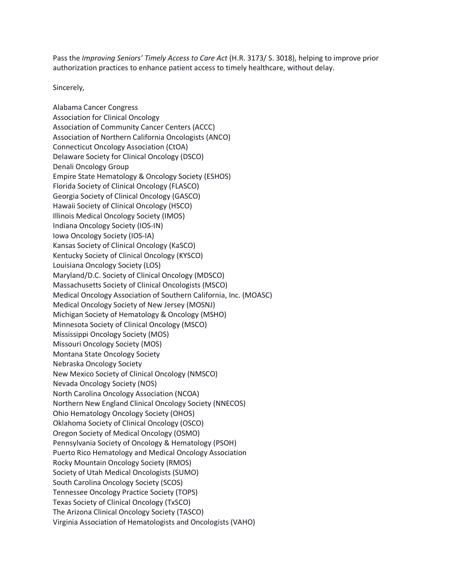Pass the *Improving Seniors' Timely Access to Care Act* (H.R. 3173/ S. 3018), helping to improve prior authorization practices to enhance patient access to timely healthcare, without delay.

Sincerely,

Alabama Cancer Congress Association for Clinical Oncology Association of Community Cancer Centers (ACCC) Association of Northern California Oncologists (ANCO) Connecticut Oncology Association (CtOA) Delaware Society for Clinical Oncology (DSCO) Denali Oncology Group Empire State Hematology & Oncology Society (ESHOS) Florida Society of Clinical Oncology (FLASCO) Georgia Society of Clinical Oncology (GASCO) Hawaii Society of Clinical Oncology (HSCO) Illinois Medical Oncology Society (IMOS) Indiana Oncology Society (IOS-IN) Iowa Oncology Society (IOS-IA) Kansas Society of Clinical Oncology (KaSCO) Kentucky Society of Clinical Oncology (KYSCO) Louisiana Oncology Society (LOS) Maryland/D.C. Society of Clinical Oncology (MDSCO) Massachusetts Society of Clinical Oncologists (MSCO) Medical Oncology Association of Southern California, Inc. (MOASC) Medical Oncology Society of New Jersey (MOSNJ) Michigan Society of Hematology & Oncology (MSHO) Minnesota Society of Clinical Oncology (MSCO) Mississippi Oncology Society (MOS) Missouri Oncology Society (MOS) Montana State Oncology Society Nebraska Oncology Society New Mexico Society of Clinical Oncology (NMSCO) Nevada Oncology Society (NOS) North Carolina Oncology Association (NCOA) Northern New England Clinical Oncology Society (NNECOS) Ohio Hematology Oncology Society (OHOS) Oklahoma Society of Clinical Oncology (OSCO) Oregon Society of Medical Oncology (OSMO) Pennsylvania Society of Oncology & Hematology (PSOH) Puerto Rico Hematology and Medical Oncology Association Rocky Mountain Oncology Society (RMOS) Society of Utah Medical Oncologists (SUMO) South Carolina Oncology Society (SCOS) Tennessee Oncology Practice Society (TOPS) Texas Society of Clinical Oncology (TxSCO) The Arizona Clinical Oncology Society (TASCO) Virginia Association of Hematologists and Oncologists (VAHO)